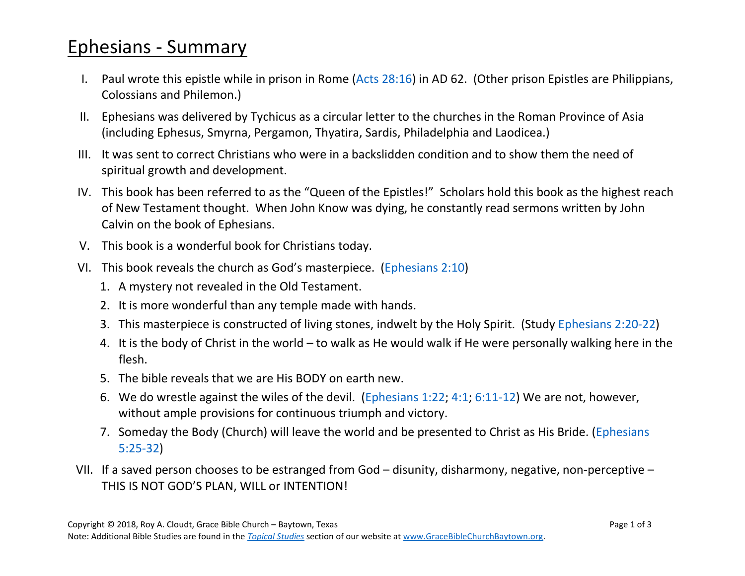## Ephesians - Summary

- I. Paul wrote this epistle while in prison in Rome [\(Acts 28:16\)](https://www.biblegateway.com/passage/?search=Acts+28%3A16&version=NASB) in AD 62. (Other prison Epistles are Philippians, Colossians and Philemon.)
- II. Ephesians was delivered by Tychicus as a circular letter to the churches in the Roman Province of Asia (including Ephesus, Smyrna, Pergamon, Thyatira, Sardis, Philadelphia and Laodicea.)
- III. It was sent to correct Christians who were in a backslidden condition and to show them the need of spiritual growth and development.
- IV. This book has been referred to as the "Queen of the Epistles!" Scholars hold this book as the highest reach of New Testament thought. When John Know was dying, he constantly read sermons written by John Calvin on the book of Ephesians.
- V. This book is a wonderful book for Christians today.
- VI. This book reveals the church as God's masterpiece. ([Ephesians 2:10\)](https://www.biblegateway.com/passage/?search=Ephesians+2%3A10&version=NASB)
	- 1. A mystery not revealed in the Old Testament.
	- 2. It is more wonderful than any temple made with hands.
	- 3. This masterpiece is constructed of living stones, indwelt by the Holy Spirit. (Study [Ephesians 2:20-22\)](https://www.biblegateway.com/passage/?search=Ephesians+2%3A20-22&version=NASB)
	- 4. It is the body of Christ in the world to walk as He would walk if He were personally walking here in the flesh.
	- 5. The bible reveals that we are His BODY on earth new.
	- 6. We do wrestle against the wiles of the devil. [\(Ephesians 1:22;](https://www.biblegateway.com/passage/?search=Ephesians+1%3A22&version=NASB) [4:1;](https://www.biblegateway.com/passage/?search=Ephesians+4%3A1&version=NASB) [6:11-12\)](https://www.biblegateway.com/passage/?search=Ephesians+6%3A11-12+&version=NASB) We are not, however, without ample provisions for continuous triumph and victory.
	- 7. Someday the Body (Church) will leave the world and be presented to Christ as His Bride. [\(Ephesians](https://www.biblegateway.com/passage/?search=Ephesians+5%3A25-32&version=NASB)  [5:25-32\)](https://www.biblegateway.com/passage/?search=Ephesians+5%3A25-32&version=NASB)
- VII. If a saved person chooses to be estranged from God disunity, disharmony, negative, non-perceptive THIS IS NOT GOD'S PLAN, WILL or INTENTION!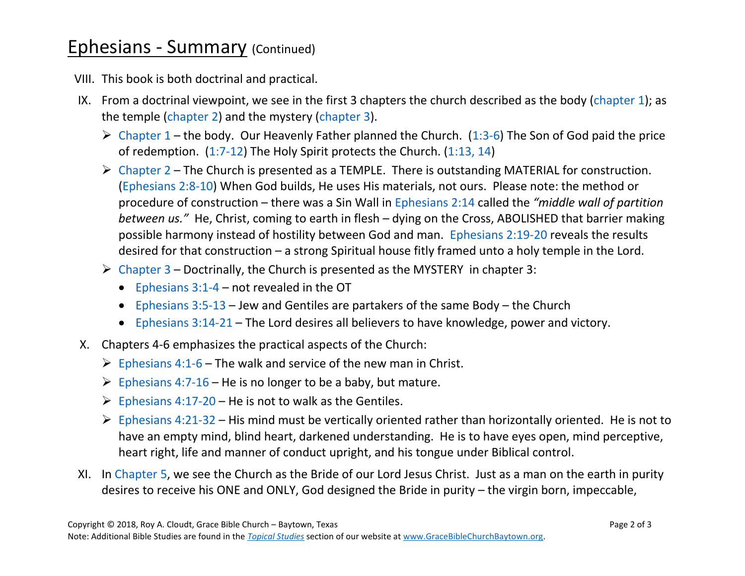## **Ephesians - Summary (Continued)**

VIII. This book is both doctrinal and practical.

- IX. From a doctrinal viewpoint, we see in the first 3 chapters the church described as the body [\(chapter 1\)](https://www.biblegateway.com/passage/?search=Ephesians+1&version=NASB); as the temple [\(chapter 2\)](https://www.biblegateway.com/passage/?search=Ephesians+2&version=NASB) and the mystery [\(chapter 3\)](https://www.biblegateway.com/passage/?search=Ephesians+3&version=NASB).
	- $\triangleright$  [Chapter 1](https://www.biblegateway.com/passage/?search=Ephesians+1&version=NASB) the body. Our Heavenly Father planned the Church. [\(1:3-6\)](https://www.biblegateway.com/passage/?search=Ephesians+1%3A3-6&version=NASB) The Son of God paid the price of redemption. [\(1:7-12\)](https://www.biblegateway.com/passage/?search=Ephesians+1%3A7-12&version=NASB) The Holy Spirit protects the Church. [\(1:13, 14\)](https://www.biblegateway.com/passage/?search=Ephesians+1%3A13-14&version=NASB)
	- $\triangleright$  [Chapter 2](https://www.biblegateway.com/passage/?search=Ephesians+2&version=NASB) The Church is presented as a TEMPLE. There is outstanding MATERIAL for construction. [\(Ephesians 2:8-10\)](https://www.biblegateway.com/passage/?search=Ephesians+2%3A8-10&version=NASB) When God builds, He uses His materials, not ours. Please note: the method or procedure of construction – there was a Sin Wall in [Ephesians 2:14](https://www.biblegateway.com/passage/?search=Ephesians+2%3A14&version=NASB) called the *"middle wall of partition between us."* He, Christ, coming to earth in flesh – dying on the Cross, ABOLISHED that barrier making possible harmony instead of hostility between God and man. [Ephesians 2:19-20](https://www.biblegateway.com/passage/?search=Ephesians+2%3A19-20&version=NASB) reveals the results desired for that construction – a strong Spiritual house fitly framed unto a holy temple in the Lord.
	- $\triangleright$  [Chapter 3](https://www.biblegateway.com/passage/?search=Ephesians+3&version=NASB) Doctrinally, the Church is presented as the MYSTERY in chapter 3:
		- Ephesians  $3:1-4$  not revealed in the OT
		- [Ephesians 3:5-13](https://www.biblegateway.com/passage/?search=Ephesians+3%3A5-13&version=NASB) Jew and Gentiles are partakers of the same Body the Church
		- [Ephesians 3:14-21](https://www.biblegateway.com/passage/?search=Ephesians+3%3A14-21&version=NASB) The Lord desires all believers to have knowledge, power and victory.
- X. Chapters 4-6 emphasizes the practical aspects of the Church:
	- $\triangleright$  [Ephesians 4:1-6](https://www.biblegateway.com/passage/?search=Ephesians+4%3A1-6&version=NASB) The walk and service of the new man in Christ.
	- $\triangleright$  [Ephesians 4:7-16](https://www.biblegateway.com/passage/?search=Ephesians+4%3A7-16&version=NASB) He is no longer to be a baby, but mature.
	- $\triangleright$  [Ephesians 4:17-20](https://www.biblegateway.com/passage/?search=Ephesians+4%3A17-20&version=NASB) He is not to walk as the Gentiles.
	- $\triangleright$  [Ephesians 4:21-32](https://www.biblegateway.com/passage/?search=Ephesians+4%3A21-32&version=NASB) His mind must be vertically oriented rather than horizontally oriented. He is not to have an empty mind, blind heart, darkened understanding. He is to have eyes open, mind perceptive, heart right, life and manner of conduct upright, and his tongue under Biblical control.
- XI. In [Chapter 5,](https://www.biblegateway.com/passage/?search=Ephesians+5&version=NASB) we see the Church as the Bride of our Lord Jesus Christ. Just as a man on the earth in purity desires to receive his ONE and ONLY, God designed the Bride in purity – the virgin born, impeccable,